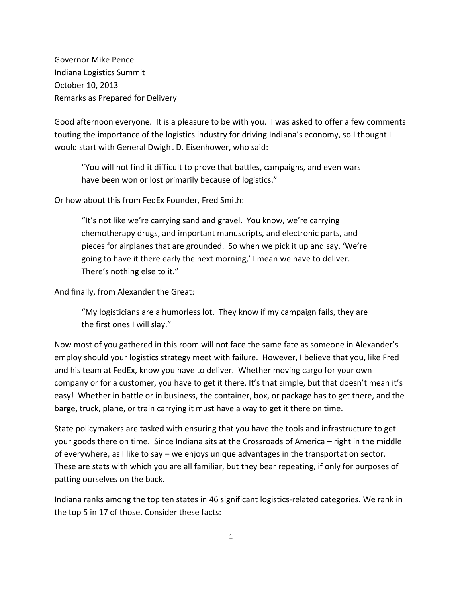Governor Mike Pence Indiana Logistics Summit October 10, 2013 Remarks as Prepared for Delivery

Good afternoon everyone. It is a pleasure to be with you. I was asked to offer a few comments touting the importance of the logistics industry for driving Indiana's economy, so I thought I would start with General Dwight D. Eisenhower, who said:

"You will not find it difficult to prove that battles, campaigns, and even wars have been won or lost primarily because of logistics."

Or how about this from FedEx Founder, Fred Smith:

"It's not like we're carrying sand and gravel. You know, we're carrying chemotherapy drugs, and important manuscripts, and electronic parts, and pieces for airplanes that are grounded. So when we pick it up and say, 'We're going to have it there early the next morning,' I mean we have to deliver. There's nothing else to it."

And finally, from Alexander the Great:

"My logisticians are a humorless lot. They know if my campaign fails, they are the first ones I will slay."

Now most of you gathered in this room will not face the same fate as someone in Alexander's employ should your logistics strategy meet with failure. However, I believe that you, like Fred and his team at FedEx, know you have to deliver. Whether moving cargo for your own company or for a customer, you have to get it there. It's that simple, but that doesn't mean it's easy! Whether in battle or in business, the container, box, or package has to get there, and the barge, truck, plane, or train carrying it must have a way to get it there on time.

State policymakers are tasked with ensuring that you have the tools and infrastructure to get your goods there on time. Since Indiana sits at the Crossroads of America – right in the middle of everywhere, as I like to say – we enjoys unique advantages in the transportation sector. These are stats with which you are all familiar, but they bear repeating, if only for purposes of patting ourselves on the back.

Indiana ranks among the top ten states in 46 significant logistics-related categories. We rank in the top 5 in 17 of those. Consider these facts: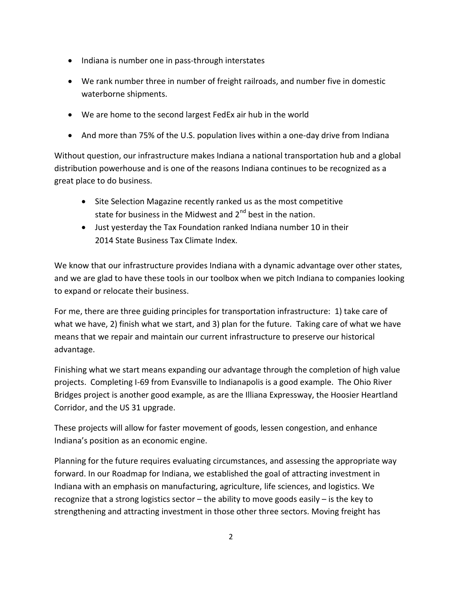- Indiana is number one in pass-through interstates
- We rank number three in number of freight railroads, and number five in domestic waterborne shipments.
- We are home to the second largest FedEx air hub in the world
- And more than 75% of the U.S. population lives within a one-day drive from Indiana

Without question, our infrastructure makes Indiana a national transportation hub and a global distribution powerhouse and is one of the reasons Indiana continues to be recognized as a great place to do business.

- Site Selection Magazine recently ranked us as the most competitive state for business in the Midwest and  $2<sup>nd</sup>$  best in the nation.
- Just yesterday the Tax Foundation ranked Indiana number 10 in their 2014 State Business Tax Climate Index.

We know that our infrastructure provides Indiana with a dynamic advantage over other states, and we are glad to have these tools in our toolbox when we pitch Indiana to companies looking to expand or relocate their business.

For me, there are three guiding principles for transportation infrastructure: 1) take care of what we have, 2) finish what we start, and 3) plan for the future. Taking care of what we have means that we repair and maintain our current infrastructure to preserve our historical advantage.

Finishing what we start means expanding our advantage through the completion of high value projects. Completing I-69 from Evansville to Indianapolis is a good example. The Ohio River Bridges project is another good example, as are the Illiana Expressway, the Hoosier Heartland Corridor, and the US 31 upgrade.

These projects will allow for faster movement of goods, lessen congestion, and enhance Indiana's position as an economic engine.

Planning for the future requires evaluating circumstances, and assessing the appropriate way forward. In our Roadmap for Indiana, we established the goal of attracting investment in Indiana with an emphasis on manufacturing, agriculture, life sciences, and logistics. We recognize that a strong logistics sector – the ability to move goods easily – is the key to strengthening and attracting investment in those other three sectors. Moving freight has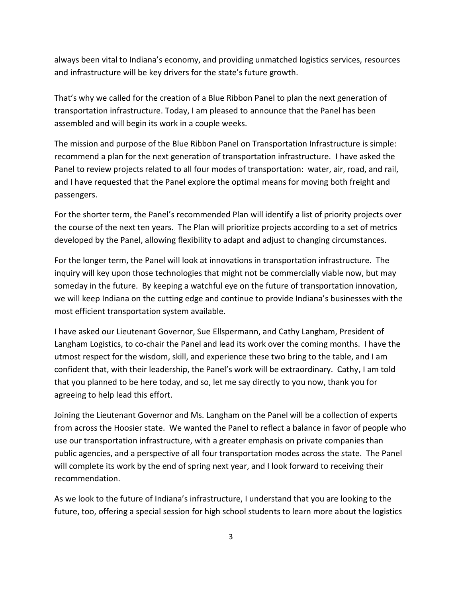always been vital to Indiana's economy, and providing unmatched logistics services, resources and infrastructure will be key drivers for the state's future growth.

That's why we called for the creation of a Blue Ribbon Panel to plan the next generation of transportation infrastructure. Today, I am pleased to announce that the Panel has been assembled and will begin its work in a couple weeks.

The mission and purpose of the Blue Ribbon Panel on Transportation Infrastructure is simple: recommend a plan for the next generation of transportation infrastructure. I have asked the Panel to review projects related to all four modes of transportation: water, air, road, and rail, and I have requested that the Panel explore the optimal means for moving both freight and passengers.

For the shorter term, the Panel's recommended Plan will identify a list of priority projects over the course of the next ten years. The Plan will prioritize projects according to a set of metrics developed by the Panel, allowing flexibility to adapt and adjust to changing circumstances.

For the longer term, the Panel will look at innovations in transportation infrastructure. The inquiry will key upon those technologies that might not be commercially viable now, but may someday in the future. By keeping a watchful eye on the future of transportation innovation, we will keep Indiana on the cutting edge and continue to provide Indiana's businesses with the most efficient transportation system available.

I have asked our Lieutenant Governor, Sue Ellspermann, and Cathy Langham, President of Langham Logistics, to co-chair the Panel and lead its work over the coming months. I have the utmost respect for the wisdom, skill, and experience these two bring to the table, and I am confident that, with their leadership, the Panel's work will be extraordinary. Cathy, I am told that you planned to be here today, and so, let me say directly to you now, thank you for agreeing to help lead this effort.

Joining the Lieutenant Governor and Ms. Langham on the Panel will be a collection of experts from across the Hoosier state. We wanted the Panel to reflect a balance in favor of people who use our transportation infrastructure, with a greater emphasis on private companies than public agencies, and a perspective of all four transportation modes across the state. The Panel will complete its work by the end of spring next year, and I look forward to receiving their recommendation.

As we look to the future of Indiana's infrastructure, I understand that you are looking to the future, too, offering a special session for high school students to learn more about the logistics